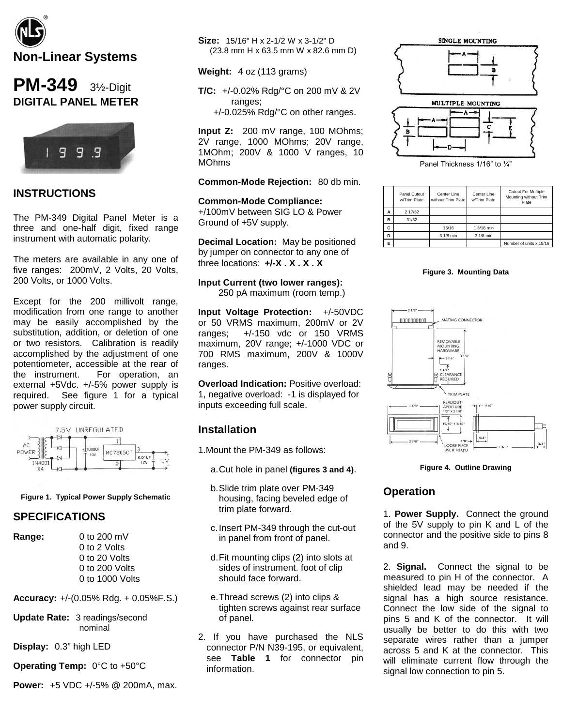

# **PM-349** 3½-Digit **DIGITAL PANEL METER**



### **INSTRUCTIONS**

The PM-349 Digital Panel Meter is a three and one-half digit, fixed range instrument with automatic polarity.

The meters are available in any one of five ranges: 200mV, 2 Volts, 20 Volts, 200 Volts, or 1000 Volts.

Except for the 200 millivolt range, modification from one range to another may be easily accomplished by the substitution, addition, or deletion of one or two resistors. Calibration is readily accomplished by the adjustment of one potentiometer, accessible at the rear of the instrument. For operation, an external +5Vdc. +/-5% power supply is required. See figure 1 for a typical power supply circuit.



#### **Figure 1. Typical Power Supply Schematic**

#### **SPECIFICATIONS**

**Range:** 0 to 200 mV

0 to 2 Volts 0 to 20 Volts 0 to 200 Volts 0 to 1000 Volts

**Accuracy:** +/-(0.05% Rdg. + 0.05%F.S.)

**Update Rate:** 3 readings/second nominal

**Display:** 0.3" high LED

**Operating Temp:** 0°C to +50°C

**Power:** +5 VDC +/-5% @ 200mA, max.

**Size:** 15/16" H x 2-1/2 W x 3-1/2" D (23.8 mm H x 63.5 mm W x 82.6 mm D)

**Weight:** 4 oz (113 grams)

**T/C:** +/-0.02% Rdg/°C on 200 mV & 2V ranges;

+/-0.025% Rdg/°C on other ranges.

**Input Z:** 200 mV range, 100 MOhms; 2V range, 1000 MOhms; 20V range, 1MOhm; 200V & 1000 V ranges, 10 MOhms

#### **Common-Mode Rejection:** 80 db min.

**Common-Mode Compliance:** +/100mV between SIG LO & Power Ground of +5V supply.

**Decimal Location:** May be positioned by jumper on connector to any one of three locations: **+/-X . X . X . X**

#### **Input Current (two lower ranges):**

250 pA maximum (room temp.)

**Input Voltage Protection:** +/-50VDC or 50 VRMS maximum, 200mV or 2V ranges; +/-150 vdc or 150 VRMS maximum, 20V range; +/-1000 VDC or 700 RMS maximum, 200V & 1000V ranges.

**Overload Indication:** Positive overload: 1, negative overload: -1 is displayed for inputs exceeding full scale.

### **Installation**

1.Mount the PM-349 as follows:

- a.Cut hole in panel **(figures 3 and 4)**.
- b.Slide trim plate over PM-349 housing, facing beveled edge of trim plate forward.
- c.Insert PM-349 through the cut-out in panel from front of panel.
- d.Fit mounting clips (2) into slots at sides of instrument. foot of clip should face forward.
- e.Thread screws (2) into clips & tighten screws against rear surface of panel.
- 2. If you have purchased the NLS connector P/N N39-195, or equivalent, see **Table 1** for connector pin information.





Panel Thickness 1/16" to 1/4"

|   | Panel Cutout<br>w/Trim Plate | Center Line<br>without Trim Plate | Center Line<br>w/Trim Plate | <b>Cutout For Multiple</b><br>Mounting without Trim<br>Plate |
|---|------------------------------|-----------------------------------|-----------------------------|--------------------------------------------------------------|
| Α | 2 17/32                      |                                   |                             |                                                              |
| B | 31/32                        |                                   |                             |                                                              |
| c |                              | 15/16                             | 1 3/16 min                  |                                                              |
| D |                              | 3 1/8 min                         | 3 1/8 min                   |                                                              |
| Ė |                              |                                   |                             | Number of units x 15/16                                      |





#### **Figure 4. Outline Drawing**

### **Operation**

1. **Power Supply.** Connect the ground of the 5V supply to pin K and L of the connector and the positive side to pins 8 and 9.

2. **Signal.** Connect the signal to be measured to pin H of the connector. A shielded lead may be needed if the signal has a high source resistance. Connect the low side of the signal to pins 5 and K of the connector. It will usually be better to do this with two separate wires rather than a jumper across 5 and K at the connector. This will eliminate current flow through the signal low connection to pin 5.